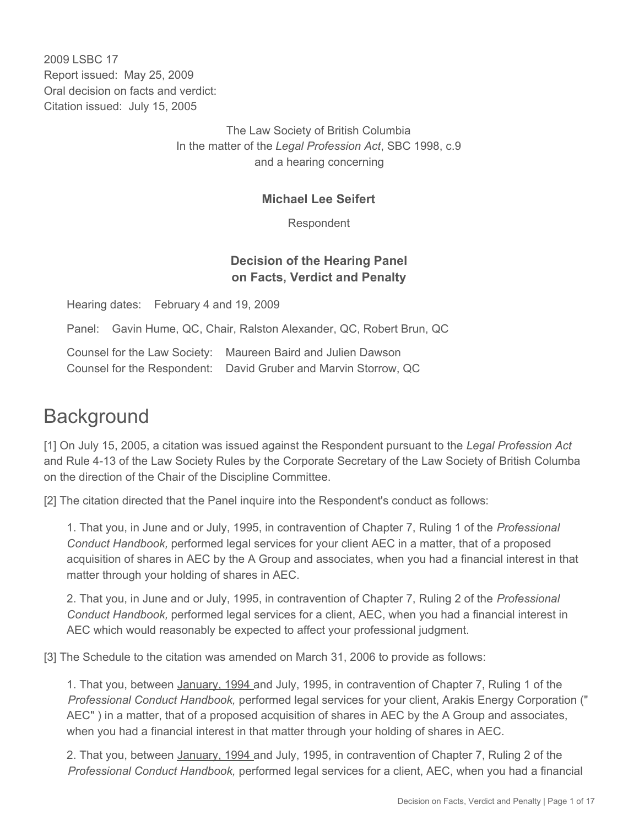2009 LSBC 17 Report issued: May 25, 2009 Oral decision on facts and verdict: Citation issued: July 15, 2005

> The Law Society of British Columbia In the matter of the *Legal Profession Act*, SBC 1998, c.9 and a hearing concerning

#### **Michael Lee Seifert**

Respondent

# **Decision of the Hearing Panel on Facts, Verdict and Penalty**

Hearing dates: February 4 and 19, 2009

Panel: Gavin Hume, QC, Chair, Ralston Alexander, QC, Robert Brun, QC

Counsel for the Law Society: Maureen Baird and Julien Dawson Counsel for the Respondent: David Gruber and Marvin Storrow, QC

# **Background**

[1] On July 15, 2005, a citation was issued against the Respondent pursuant to the *Legal Profession Act* and Rule 4-13 of the Law Society Rules by the Corporate Secretary of the Law Society of British Columba on the direction of the Chair of the Discipline Committee.

[2] The citation directed that the Panel inquire into the Respondent's conduct as follows:

1. That you, in June and or July, 1995, in contravention of Chapter 7, Ruling 1 of the *Professional Conduct Handbook,* performed legal services for your client AEC in a matter, that of a proposed acquisition of shares in AEC by the A Group and associates, when you had a financial interest in that matter through your holding of shares in AEC.

2. That you, in June and or July, 1995, in contravention of Chapter 7, Ruling 2 of the *Professional Conduct Handbook,* performed legal services for a client, AEC, when you had a financial interest in AEC which would reasonably be expected to affect your professional judgment.

[3] The Schedule to the citation was amended on March 31, 2006 to provide as follows:

1. That you, between January, 1994 and July, 1995, in contravention of Chapter 7, Ruling 1 of the *Professional Conduct Handbook,* performed legal services for your client, Arakis Energy Corporation (" AEC" ) in a matter, that of a proposed acquisition of shares in AEC by the A Group and associates, when you had a financial interest in that matter through your holding of shares in AEC.

2. That you, between *January, 1994* and July, 1995, in contravention of Chapter 7, Ruling 2 of the *Professional Conduct Handbook,* performed legal services for a client, AEC, when you had a financial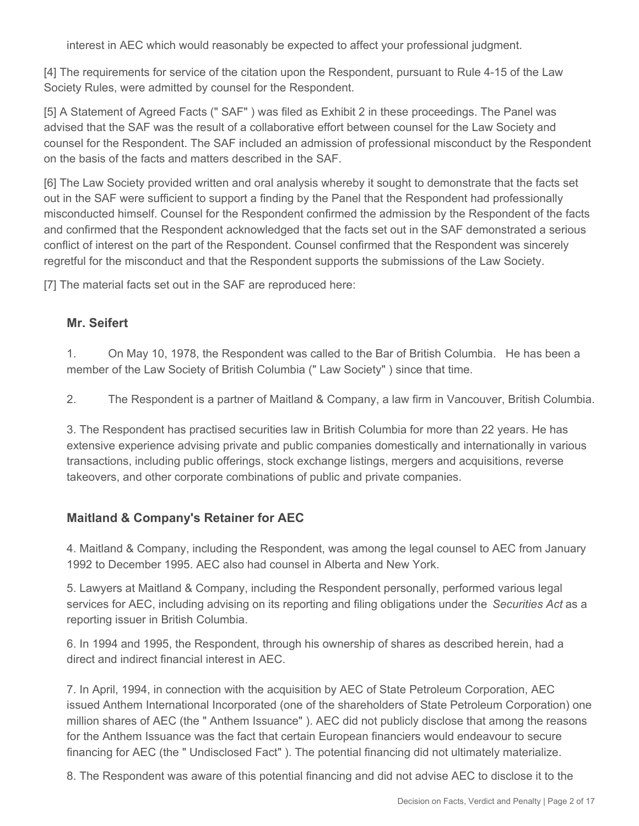interest in AEC which would reasonably be expected to affect your professional judgment.

[4] The requirements for service of the citation upon the Respondent, pursuant to Rule 4-15 of the Law Society Rules, were admitted by counsel for the Respondent.

[5] A Statement of Agreed Facts (" SAF" ) was filed as Exhibit 2 in these proceedings. The Panel was advised that the SAF was the result of a collaborative effort between counsel for the Law Society and counsel for the Respondent. The SAF included an admission of professional misconduct by the Respondent on the basis of the facts and matters described in the SAF.

[6] The Law Society provided written and oral analysis whereby it sought to demonstrate that the facts set out in the SAF were sufficient to support a finding by the Panel that the Respondent had professionally misconducted himself. Counsel for the Respondent confirmed the admission by the Respondent of the facts and confirmed that the Respondent acknowledged that the facts set out in the SAF demonstrated a serious conflict of interest on the part of the Respondent. Counsel confirmed that the Respondent was sincerely regretful for the misconduct and that the Respondent supports the submissions of the Law Society.

[7] The material facts set out in the SAF are reproduced here:

## **Mr. Seifert**

1. On May 10, 1978, the Respondent was called to the Bar of British Columbia. He has been a member of the Law Society of British Columbia (" Law Society" ) since that time.

2. The Respondent is a partner of Maitland & Company, a law firm in Vancouver, British Columbia.

3. The Respondent has practised securities law in British Columbia for more than 22 years. He has extensive experience advising private and public companies domestically and internationally in various transactions, including public offerings, stock exchange listings, mergers and acquisitions, reverse takeovers, and other corporate combinations of public and private companies.

# **Maitland & Company's Retainer for AEC**

4. Maitland & Company, including the Respondent, was among the legal counsel to AEC from January 1992 to December 1995. AEC also had counsel in Alberta and New York.

5. Lawyers at Maitland & Company, including the Respondent personally, performed various legal services for AEC, including advising on its reporting and filing obligations under the *Securities Act* as a reporting issuer in British Columbia.

6. In 1994 and 1995, the Respondent, through his ownership of shares as described herein, had a direct and indirect financial interest in AEC.

7. In April, 1994, in connection with the acquisition by AEC of State Petroleum Corporation, AEC issued Anthem International Incorporated (one of the shareholders of State Petroleum Corporation) one million shares of AEC (the " Anthem Issuance" ). AEC did not publicly disclose that among the reasons for the Anthem Issuance was the fact that certain European financiers would endeavour to secure financing for AEC (the " Undisclosed Fact" ). The potential financing did not ultimately materialize.

8. The Respondent was aware of this potential financing and did not advise AEC to disclose it to the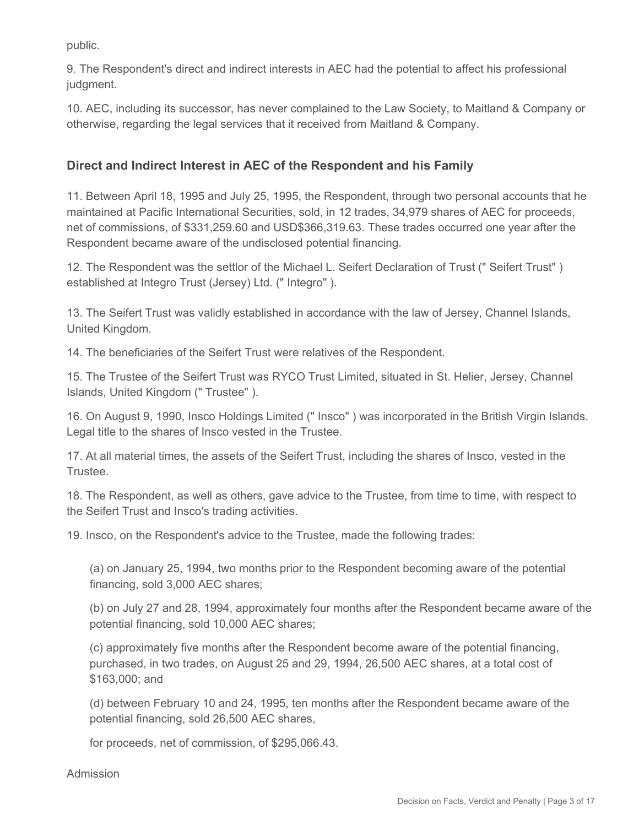public.

9. The Respondent's direct and indirect interests in AEC had the potential to affect his professional judgment.

10. AEC, including its successor, has never complained to the Law Society, to Maitland & Company or otherwise, regarding the legal services that it received from Maitland & Company.

# **Direct and Indirect Interest in AEC of the Respondent and his Family**

11. Between April 18, 1995 and July 25, 1995, the Respondent, through two personal accounts that he maintained at Pacific International Securities, sold, in 12 trades, 34,979 shares of AEC for proceeds, net of commissions, of \$331,259.60 and USD\$366,319.63. These trades occurred one year after the Respondent became aware of the undisclosed potential financing.

12. The Respondent was the settlor of the Michael L. Seifert Declaration of Trust (" Seifert Trust" ) established at Integro Trust (Jersey) Ltd. (" Integro" ).

13. The Seifert Trust was validly established in accordance with the law of Jersey, Channel Islands, United Kingdom.

14. The beneficiaries of the Seifert Trust were relatives of the Respondent.

15. The Trustee of the Seifert Trust was RYCO Trust Limited, situated in St. Helier, Jersey, Channel Islands, United Kingdom (" Trustee" ).

16. On August 9, 1990, Insco Holdings Limited (" Insco" ) was incorporated in the British Virgin Islands. Legal title to the shares of Insco vested in the Trustee.

17. At all material times, the assets of the Seifert Trust, including the shares of Insco, vested in the Trustee.

18. The Respondent, as well as others, gave advice to the Trustee, from time to time, with respect to the Seifert Trust and Insco's trading activities.

19. Insco, on the Respondent's advice to the Trustee, made the following trades:

(a) on January 25, 1994, two months prior to the Respondent becoming aware of the potential financing, sold 3,000 AEC shares;

(b) on July 27 and 28, 1994, approximately four months after the Respondent became aware of the potential financing, sold 10,000 AEC shares;

(c) approximately five months after the Respondent become aware of the potential financing, purchased, in two trades, on August 25 and 29, 1994, 26,500 AEC shares, at a total cost of \$163,000; and

(d) between February 10 and 24, 1995, ten months after the Respondent became aware of the potential financing, sold 26,500 AEC shares,

for proceeds, net of commission, of \$295,066.43.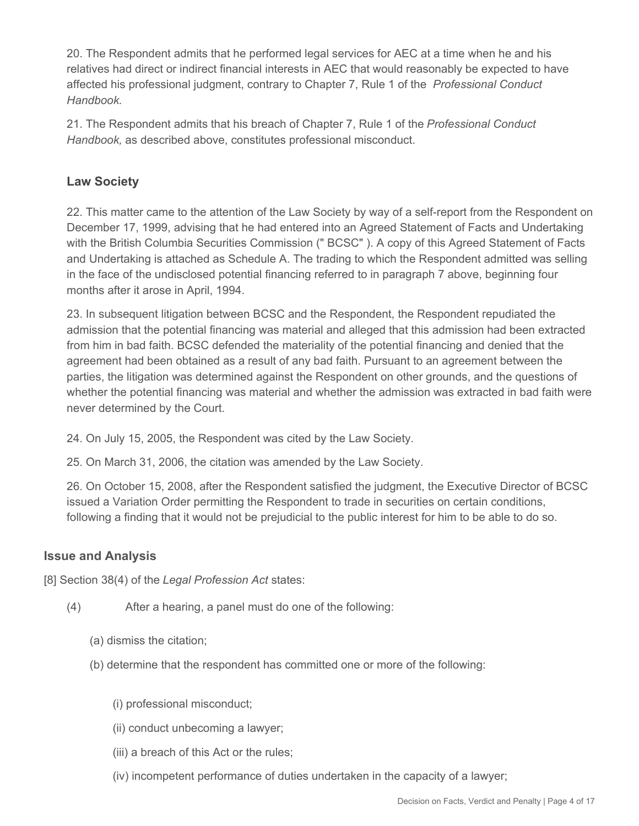20. The Respondent admits that he performed legal services for AEC at a time when he and his relatives had direct or indirect financial interests in AEC that would reasonably be expected to have affected his professional judgment, contrary to Chapter 7, Rule 1 of the *Professional Conduct Handbook.*

21. The Respondent admits that his breach of Chapter 7, Rule 1 of the *Professional Conduct Handbook,* as described above, constitutes professional misconduct.

# **Law Society**

22. This matter came to the attention of the Law Society by way of a self-report from the Respondent on December 17, 1999, advising that he had entered into an Agreed Statement of Facts and Undertaking with the British Columbia Securities Commission (" BCSC" ). A copy of this Agreed Statement of Facts and Undertaking is attached as Schedule A. The trading to which the Respondent admitted was selling in the face of the undisclosed potential financing referred to in paragraph 7 above, beginning four months after it arose in April, 1994.

23. In subsequent litigation between BCSC and the Respondent, the Respondent repudiated the admission that the potential financing was material and alleged that this admission had been extracted from him in bad faith. BCSC defended the materiality of the potential financing and denied that the agreement had been obtained as a result of any bad faith. Pursuant to an agreement between the parties, the litigation was determined against the Respondent on other grounds, and the questions of whether the potential financing was material and whether the admission was extracted in bad faith were never determined by the Court.

- 24. On July 15, 2005, the Respondent was cited by the Law Society.
- 25. On March 31, 2006, the citation was amended by the Law Society.

26. On October 15, 2008, after the Respondent satisfied the judgment, the Executive Director of BCSC issued a Variation Order permitting the Respondent to trade in securities on certain conditions, following a finding that it would not be prejudicial to the public interest for him to be able to do so.

# **Issue and Analysis**

[8] Section 38(4) of the *Legal Profession Act* states:

- (4) After a hearing, a panel must do one of the following:
	- (a) dismiss the citation;
	- (b) determine that the respondent has committed one or more of the following:
		- (i) professional misconduct;
		- (ii) conduct unbecoming a lawyer;
		- (iii) a breach of this Act or the rules;
		- (iv) incompetent performance of duties undertaken in the capacity of a lawyer;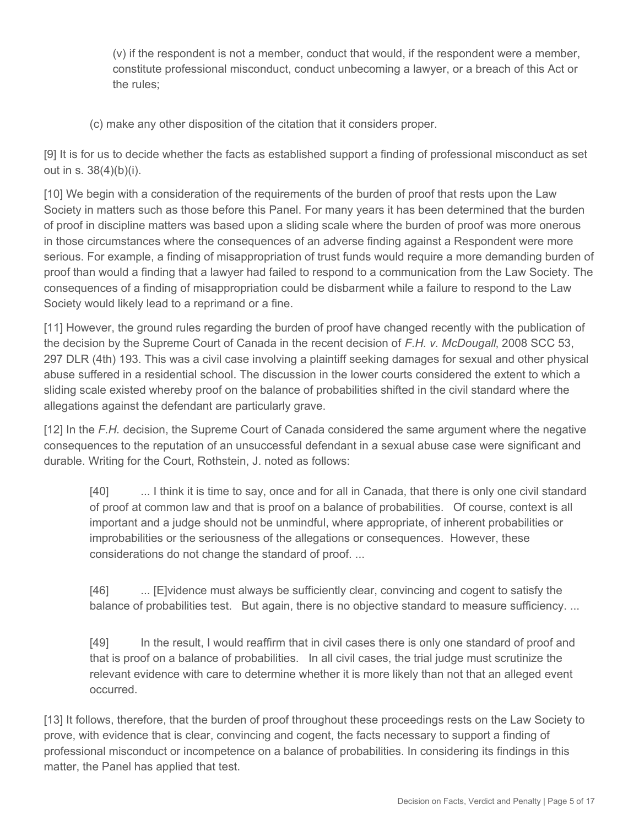(v) if the respondent is not a member, conduct that would, if the respondent were a member, constitute professional misconduct, conduct unbecoming a lawyer, or a breach of this Act or the rules;

(c) make any other disposition of the citation that it considers proper.

[9] It is for us to decide whether the facts as established support a finding of professional misconduct as set out in s. 38(4)(b)(i).

[10] We begin with a consideration of the requirements of the burden of proof that rests upon the Law Society in matters such as those before this Panel. For many years it has been determined that the burden of proof in discipline matters was based upon a sliding scale where the burden of proof was more onerous in those circumstances where the consequences of an adverse finding against a Respondent were more serious. For example, a finding of misappropriation of trust funds would require a more demanding burden of proof than would a finding that a lawyer had failed to respond to a communication from the Law Society. The consequences of a finding of misappropriation could be disbarment while a failure to respond to the Law Society would likely lead to a reprimand or a fine.

[11] However, the ground rules regarding the burden of proof have changed recently with the publication of the decision by the Supreme Court of Canada in the recent decision of *F.H. v. McDougall*, 2008 SCC 53, 297 DLR (4th) 193. This was a civil case involving a plaintiff seeking damages for sexual and other physical abuse suffered in a residential school. The discussion in the lower courts considered the extent to which a sliding scale existed whereby proof on the balance of probabilities shifted in the civil standard where the allegations against the defendant are particularly grave.

[12] In the F.H. decision, the Supreme Court of Canada considered the same argument where the negative consequences to the reputation of an unsuccessful defendant in a sexual abuse case were significant and durable. Writing for the Court, Rothstein, J. noted as follows:

[40] ... I think it is time to say, once and for all in Canada, that there is only one civil standard of proof at common law and that is proof on a balance of probabilities. Of course, context is all important and a judge should not be unmindful, where appropriate, of inherent probabilities or improbabilities or the seriousness of the allegations or consequences. However, these considerations do not change the standard of proof. ...

[46] ... [E]vidence must always be sufficiently clear, convincing and cogent to satisfy the balance of probabilities test. But again, there is no objective standard to measure sufficiency....

[49] In the result, I would reaffirm that in civil cases there is only one standard of proof and that is proof on a balance of probabilities. In all civil cases, the trial judge must scrutinize the relevant evidence with care to determine whether it is more likely than not that an alleged event occurred.

[13] It follows, therefore, that the burden of proof throughout these proceedings rests on the Law Society to prove, with evidence that is clear, convincing and cogent, the facts necessary to support a finding of professional misconduct or incompetence on a balance of probabilities. In considering its findings in this matter, the Panel has applied that test.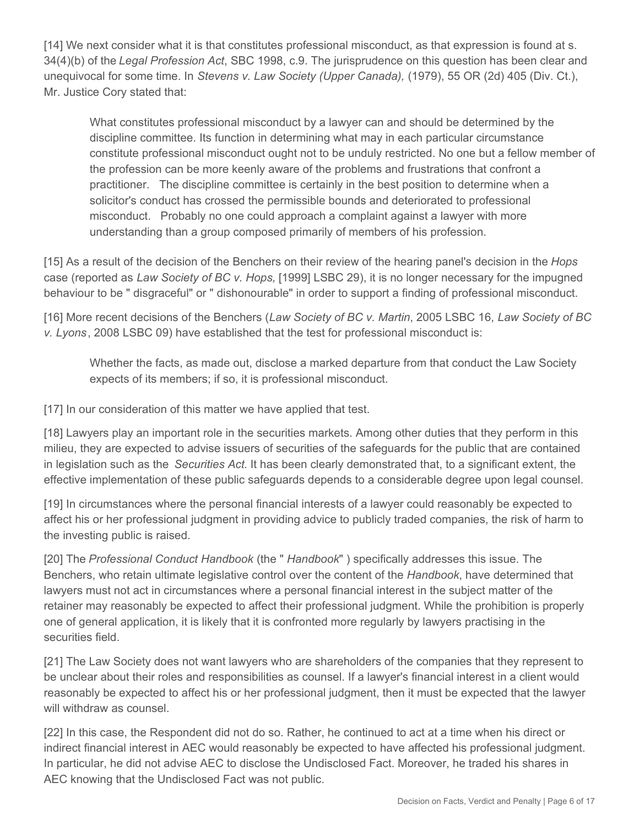[14] We next consider what it is that constitutes professional misconduct, as that expression is found at s. 34(4)(b) of the *Legal Profession Act*, SBC 1998, c.9. The jurisprudence on this question has been clear and unequivocal for some time. In *Stevens v. Law Society (Upper Canada),* (1979), 55 OR (2d) 405 (Div. Ct.), Mr. Justice Cory stated that:

What constitutes professional misconduct by a lawyer can and should be determined by the discipline committee. Its function in determining what may in each particular circumstance constitute professional misconduct ought not to be unduly restricted. No one but a fellow member of the profession can be more keenly aware of the problems and frustrations that confront a practitioner. The discipline committee is certainly in the best position to determine when a solicitor's conduct has crossed the permissible bounds and deteriorated to professional misconduct. Probably no one could approach a complaint against a lawyer with more understanding than a group composed primarily of members of his profession.

[15] As a result of the decision of the Benchers on their review of the hearing panel's decision in the *Hops* case (reported as *Law Society of BC v. Hops,* [1999] LSBC 29), it is no longer necessary for the impugned behaviour to be " disgraceful" or " dishonourable" in order to support a finding of professional misconduct.

[16] More recent decisions of the Benchers (*Law Society of BC v. Martin*, 2005 LSBC 16, *Law Society of BC v. Lyons*, 2008 LSBC 09) have established that the test for professional misconduct is:

Whether the facts, as made out, disclose a marked departure from that conduct the Law Society expects of its members; if so, it is professional misconduct.

[17] In our consideration of this matter we have applied that test.

[18] Lawyers play an important role in the securities markets. Among other duties that they perform in this milieu, they are expected to advise issuers of securities of the safeguards for the public that are contained in legislation such as the *Securities Act.* It has been clearly demonstrated that, to a significant extent, the effective implementation of these public safeguards depends to a considerable degree upon legal counsel.

[19] In circumstances where the personal financial interests of a lawyer could reasonably be expected to affect his or her professional judgment in providing advice to publicly traded companies, the risk of harm to the investing public is raised.

[20] The *Professional Conduct Handbook* (the " *Handbook*" ) specifically addresses this issue. The Benchers, who retain ultimate legislative control over the content of the *Handbook*, have determined that lawyers must not act in circumstances where a personal financial interest in the subject matter of the retainer may reasonably be expected to affect their professional judgment. While the prohibition is properly one of general application, it is likely that it is confronted more regularly by lawyers practising in the securities field.

[21] The Law Society does not want lawyers who are shareholders of the companies that they represent to be unclear about their roles and responsibilities as counsel. If a lawyer's financial interest in a client would reasonably be expected to affect his or her professional judgment, then it must be expected that the lawyer will withdraw as counsel.

[22] In this case, the Respondent did not do so. Rather, he continued to act at a time when his direct or indirect financial interest in AEC would reasonably be expected to have affected his professional judgment. In particular, he did not advise AEC to disclose the Undisclosed Fact. Moreover, he traded his shares in AEC knowing that the Undisclosed Fact was not public.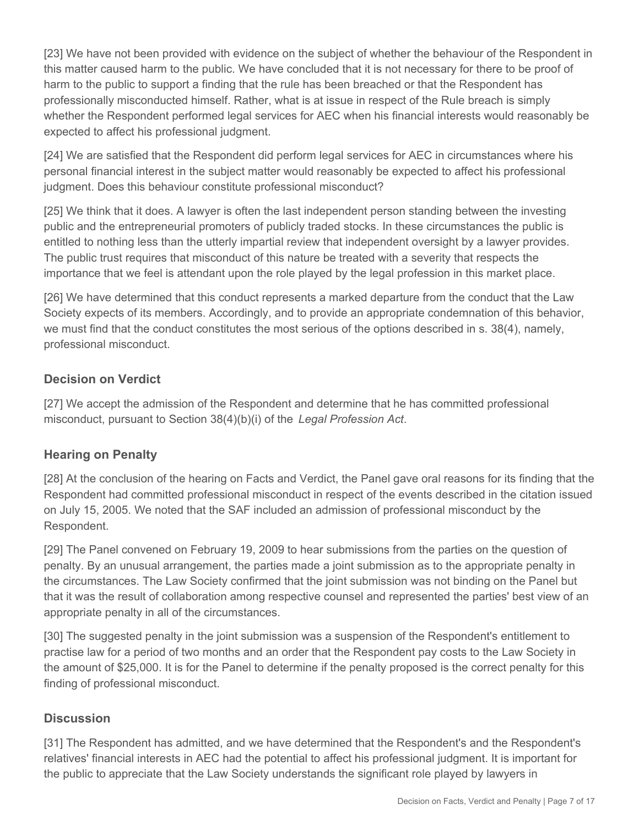[23] We have not been provided with evidence on the subject of whether the behaviour of the Respondent in this matter caused harm to the public. We have concluded that it is not necessary for there to be proof of harm to the public to support a finding that the rule has been breached or that the Respondent has professionally misconducted himself. Rather, what is at issue in respect of the Rule breach is simply whether the Respondent performed legal services for AEC when his financial interests would reasonably be expected to affect his professional judgment.

[24] We are satisfied that the Respondent did perform legal services for AEC in circumstances where his personal financial interest in the subject matter would reasonably be expected to affect his professional judgment. Does this behaviour constitute professional misconduct?

[25] We think that it does. A lawyer is often the last independent person standing between the investing public and the entrepreneurial promoters of publicly traded stocks. In these circumstances the public is entitled to nothing less than the utterly impartial review that independent oversight by a lawyer provides. The public trust requires that misconduct of this nature be treated with a severity that respects the importance that we feel is attendant upon the role played by the legal profession in this market place.

[26] We have determined that this conduct represents a marked departure from the conduct that the Law Society expects of its members. Accordingly, and to provide an appropriate condemnation of this behavior, we must find that the conduct constitutes the most serious of the options described in s. 38(4), namely, professional misconduct.

# **Decision on Verdict**

[27] We accept the admission of the Respondent and determine that he has committed professional misconduct, pursuant to Section 38(4)(b)(i) of the *Legal Profession Act*.

#### **Hearing on Penalty**

[28] At the conclusion of the hearing on Facts and Verdict, the Panel gave oral reasons for its finding that the Respondent had committed professional misconduct in respect of the events described in the citation issued on July 15, 2005. We noted that the SAF included an admission of professional misconduct by the Respondent.

[29] The Panel convened on February 19, 2009 to hear submissions from the parties on the question of penalty. By an unusual arrangement, the parties made a joint submission as to the appropriate penalty in the circumstances. The Law Society confirmed that the joint submission was not binding on the Panel but that it was the result of collaboration among respective counsel and represented the parties' best view of an appropriate penalty in all of the circumstances.

[30] The suggested penalty in the joint submission was a suspension of the Respondent's entitlement to practise law for a period of two months and an order that the Respondent pay costs to the Law Society in the amount of \$25,000. It is for the Panel to determine if the penalty proposed is the correct penalty for this finding of professional misconduct.

# **Discussion**

[31] The Respondent has admitted, and we have determined that the Respondent's and the Respondent's relatives' financial interests in AEC had the potential to affect his professional judgment. It is important for the public to appreciate that the Law Society understands the significant role played by lawyers in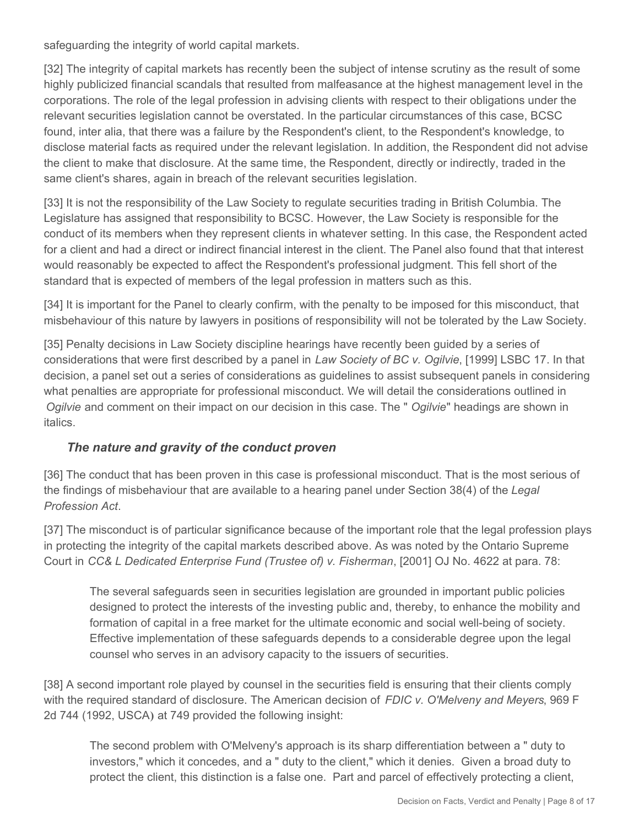safeguarding the integrity of world capital markets.

[32] The integrity of capital markets has recently been the subject of intense scrutiny as the result of some highly publicized financial scandals that resulted from malfeasance at the highest management level in the corporations. The role of the legal profession in advising clients with respect to their obligations under the relevant securities legislation cannot be overstated. In the particular circumstances of this case, BCSC found, inter alia, that there was a failure by the Respondent's client, to the Respondent's knowledge, to disclose material facts as required under the relevant legislation. In addition, the Respondent did not advise the client to make that disclosure. At the same time, the Respondent, directly or indirectly, traded in the same client's shares, again in breach of the relevant securities legislation.

[33] It is not the responsibility of the Law Society to regulate securities trading in British Columbia. The Legislature has assigned that responsibility to BCSC. However, the Law Society is responsible for the conduct of its members when they represent clients in whatever setting. In this case, the Respondent acted for a client and had a direct or indirect financial interest in the client. The Panel also found that that interest would reasonably be expected to affect the Respondent's professional judgment. This fell short of the standard that is expected of members of the legal profession in matters such as this.

[34] It is important for the Panel to clearly confirm, with the penalty to be imposed for this misconduct, that misbehaviour of this nature by lawyers in positions of responsibility will not be tolerated by the Law Society.

[35] Penalty decisions in Law Society discipline hearings have recently been guided by a series of considerations that were first described by a panel in *Law Society of BC v. Ogilvie*, [1999] LSBC 17. In that decision, a panel set out a series of considerations as guidelines to assist subsequent panels in considering what penalties are appropriate for professional misconduct. We will detail the considerations outlined in *Ogilvie* and comment on their impact on our decision in this case. The " *Ogilvie*" headings are shown in italics.

# *The nature and gravity of the conduct proven*

[36] The conduct that has been proven in this case is professional misconduct. That is the most serious of the findings of misbehaviour that are available to a hearing panel under Section 38(4) of the *Legal Profession Act*.

[37] The misconduct is of particular significance because of the important role that the legal profession plays in protecting the integrity of the capital markets described above. As was noted by the Ontario Supreme Court in *CC& L Dedicated Enterprise Fund (Trustee of) v. Fisherman*, [2001] OJ No. 4622 at para. 78:

The several safeguards seen in securities legislation are grounded in important public policies designed to protect the interests of the investing public and, thereby, to enhance the mobility and formation of capital in a free market for the ultimate economic and social well-being of society. Effective implementation of these safeguards depends to a considerable degree upon the legal counsel who serves in an advisory capacity to the issuers of securities.

[38] A second important role played by counsel in the securities field is ensuring that their clients comply with the required standard of disclosure. The American decision of *FDIC v. O'Melveny and Meyers*, 969 F 2d 744 (1992, USCA**)** at 749 provided the following insight:

The second problem with O'Melveny's approach is its sharp differentiation between a " duty to investors," which it concedes, and a " duty to the client," which it denies. Given a broad duty to protect the client, this distinction is a false one. Part and parcel of effectively protecting a client,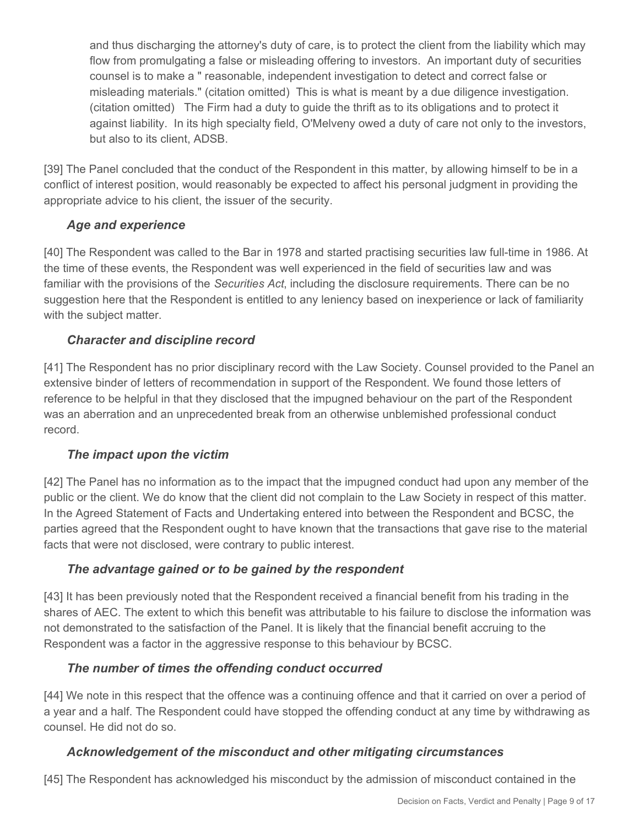and thus discharging the attorney's duty of care, is to protect the client from the liability which may flow from promulgating a false or misleading offering to investors. An important duty of securities counsel is to make a " reasonable, independent investigation to detect and correct false or misleading materials." (citation omitted) This is what is meant by a due diligence investigation. (citation omitted) The Firm had a duty to guide the thrift as to its obligations and to protect it against liability. In its high specialty field, O'Melveny owed a duty of care not only to the investors, but also to its client, ADSB.

[39] The Panel concluded that the conduct of the Respondent in this matter, by allowing himself to be in a conflict of interest position, would reasonably be expected to affect his personal judgment in providing the appropriate advice to his client, the issuer of the security.

# *Age and experience*

[40] The Respondent was called to the Bar in 1978 and started practising securities law full-time in 1986. At the time of these events, the Respondent was well experienced in the field of securities law and was familiar with the provisions of the *Securities Act*, including the disclosure requirements. There can be no suggestion here that the Respondent is entitled to any leniency based on inexperience or lack of familiarity with the subject matter.

# *Character and discipline record*

[41] The Respondent has no prior disciplinary record with the Law Society. Counsel provided to the Panel an extensive binder of letters of recommendation in support of the Respondent. We found those letters of reference to be helpful in that they disclosed that the impugned behaviour on the part of the Respondent was an aberration and an unprecedented break from an otherwise unblemished professional conduct record.

# *The impact upon the victim*

[42] The Panel has no information as to the impact that the impugned conduct had upon any member of the public or the client. We do know that the client did not complain to the Law Society in respect of this matter. In the Agreed Statement of Facts and Undertaking entered into between the Respondent and BCSC, the parties agreed that the Respondent ought to have known that the transactions that gave rise to the material facts that were not disclosed, were contrary to public interest.

# *The advantage gained or to be gained by the respondent*

[43] It has been previously noted that the Respondent received a financial benefit from his trading in the shares of AEC. The extent to which this benefit was attributable to his failure to disclose the information was not demonstrated to the satisfaction of the Panel. It is likely that the financial benefit accruing to the Respondent was a factor in the aggressive response to this behaviour by BCSC.

# *The number of times the offending conduct occurred*

[44] We note in this respect that the offence was a continuing offence and that it carried on over a period of a year and a half. The Respondent could have stopped the offending conduct at any time by withdrawing as counsel. He did not do so.

# *Acknowledgement of the misconduct and other mitigating circumstances*

[45] The Respondent has acknowledged his misconduct by the admission of misconduct contained in the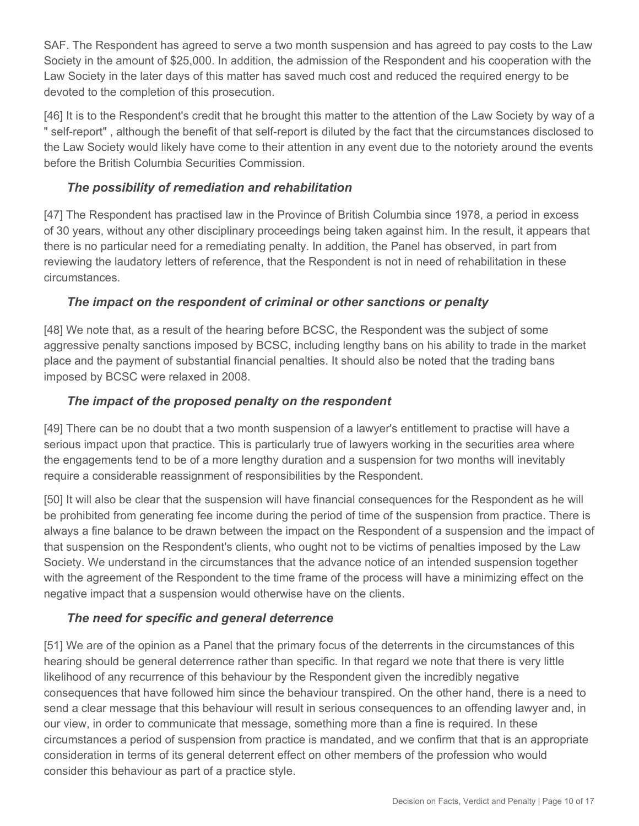SAF. The Respondent has agreed to serve a two month suspension and has agreed to pay costs to the Law Society in the amount of \$25,000. In addition, the admission of the Respondent and his cooperation with the Law Society in the later days of this matter has saved much cost and reduced the required energy to be devoted to the completion of this prosecution.

[46] It is to the Respondent's credit that he brought this matter to the attention of the Law Society by way of a " self-report" , although the benefit of that self-report is diluted by the fact that the circumstances disclosed to the Law Society would likely have come to their attention in any event due to the notoriety around the events before the British Columbia Securities Commission.

# *The possibility of remediation and rehabilitation*

[47] The Respondent has practised law in the Province of British Columbia since 1978, a period in excess of 30 years, without any other disciplinary proceedings being taken against him. In the result, it appears that there is no particular need for a remediating penalty. In addition, the Panel has observed, in part from reviewing the laudatory letters of reference, that the Respondent is not in need of rehabilitation in these circumstances.

# *The impact on the respondent of criminal or other sanctions or penalty*

[48] We note that, as a result of the hearing before BCSC, the Respondent was the subject of some aggressive penalty sanctions imposed by BCSC, including lengthy bans on his ability to trade in the market place and the payment of substantial financial penalties. It should also be noted that the trading bans imposed by BCSC were relaxed in 2008.

# *The impact of the proposed penalty on the respondent*

[49] There can be no doubt that a two month suspension of a lawyer's entitlement to practise will have a serious impact upon that practice. This is particularly true of lawyers working in the securities area where the engagements tend to be of a more lengthy duration and a suspension for two months will inevitably require a considerable reassignment of responsibilities by the Respondent.

[50] It will also be clear that the suspension will have financial consequences for the Respondent as he will be prohibited from generating fee income during the period of time of the suspension from practice. There is always a fine balance to be drawn between the impact on the Respondent of a suspension and the impact of that suspension on the Respondent's clients, who ought not to be victims of penalties imposed by the Law Society. We understand in the circumstances that the advance notice of an intended suspension together with the agreement of the Respondent to the time frame of the process will have a minimizing effect on the negative impact that a suspension would otherwise have on the clients.

# *The need for specific and general deterrence*

[51] We are of the opinion as a Panel that the primary focus of the deterrents in the circumstances of this hearing should be general deterrence rather than specific. In that regard we note that there is very little likelihood of any recurrence of this behaviour by the Respondent given the incredibly negative consequences that have followed him since the behaviour transpired. On the other hand, there is a need to send a clear message that this behaviour will result in serious consequences to an offending lawyer and, in our view, in order to communicate that message, something more than a fine is required. In these circumstances a period of suspension from practice is mandated, and we confirm that that is an appropriate consideration in terms of its general deterrent effect on other members of the profession who would consider this behaviour as part of a practice style.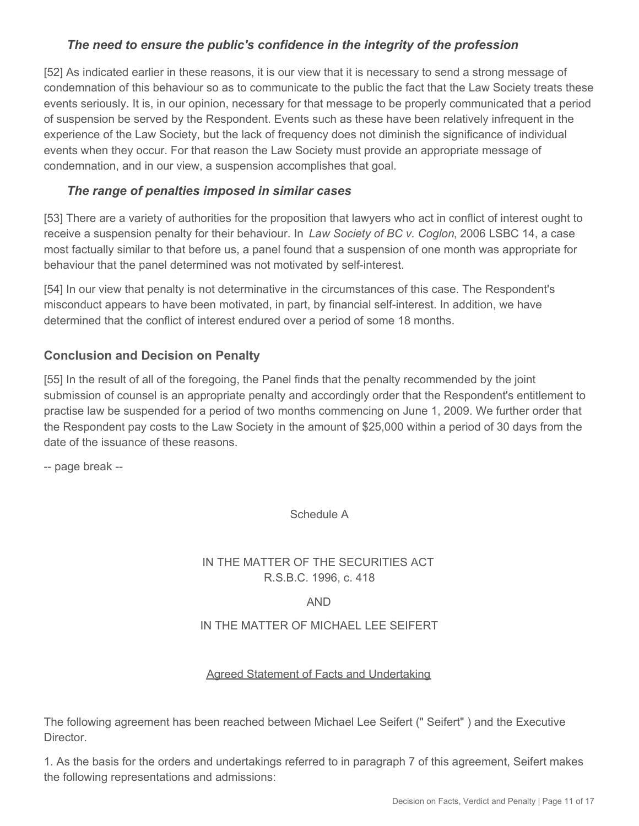# *The need to ensure the public's confidence in the integrity of the profession*

[52] As indicated earlier in these reasons, it is our view that it is necessary to send a strong message of condemnation of this behaviour so as to communicate to the public the fact that the Law Society treats these events seriously. It is, in our opinion, necessary for that message to be properly communicated that a period of suspension be served by the Respondent. Events such as these have been relatively infrequent in the experience of the Law Society, but the lack of frequency does not diminish the significance of individual events when they occur. For that reason the Law Society must provide an appropriate message of condemnation, and in our view, a suspension accomplishes that goal.

# *The range of penalties imposed in similar cases*

[53] There are a variety of authorities for the proposition that lawyers who act in conflict of interest ought to receive a suspension penalty for their behaviour. In *Law Society of BC v. Coglon*, 2006 LSBC 14, a case most factually similar to that before us, a panel found that a suspension of one month was appropriate for behaviour that the panel determined was not motivated by self-interest.

[54] In our view that penalty is not determinative in the circumstances of this case. The Respondent's misconduct appears to have been motivated, in part, by financial self-interest. In addition, we have determined that the conflict of interest endured over a period of some 18 months.

# **Conclusion and Decision on Penalty**

[55] In the result of all of the foregoing, the Panel finds that the penalty recommended by the joint submission of counsel is an appropriate penalty and accordingly order that the Respondent's entitlement to practise law be suspended for a period of two months commencing on June 1, 2009. We further order that the Respondent pay costs to the Law Society in the amount of \$25,000 within a period of 30 days from the date of the issuance of these reasons.

-- page break --

Schedule A

## IN THE MATTER OF THE SECURITIES ACT R.S.B.C. 1996, c. 418

AND

#### IN THE MATTER OF MICHAEL LEE SEIFERT

#### Agreed Statement of Facts and Undertaking

The following agreement has been reached between Michael Lee Seifert (" Seifert" ) and the Executive Director.

1. As the basis for the orders and undertakings referred to in paragraph 7 of this agreement, Seifert makes the following representations and admissions: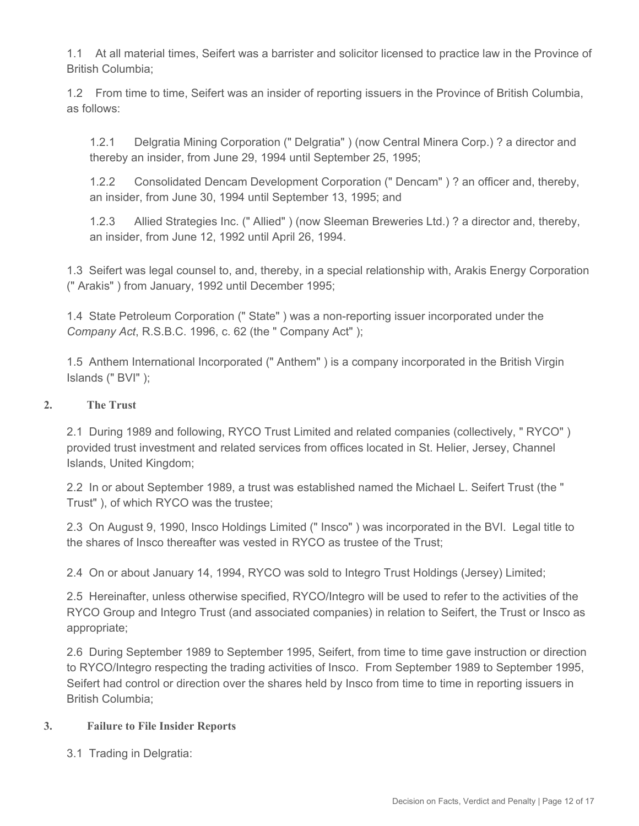1.1 At all material times, Seifert was a barrister and solicitor licensed to practice law in the Province of British Columbia;

1.2 From time to time, Seifert was an insider of reporting issuers in the Province of British Columbia, as follows:

1.2.1 Delgratia Mining Corporation (" Delgratia" ) (now Central Minera Corp.) ? a director and thereby an insider, from June 29, 1994 until September 25, 1995;

1.2.2 Consolidated Dencam Development Corporation (" Dencam" ) ? an officer and, thereby, an insider, from June 30, 1994 until September 13, 1995; and

1.2.3 Allied Strategies Inc. (" Allied" ) (now Sleeman Breweries Ltd.) ? a director and, thereby, an insider, from June 12, 1992 until April 26, 1994.

1.3 Seifert was legal counsel to, and, thereby, in a special relationship with, Arakis Energy Corporation (" Arakis" ) from January, 1992 until December 1995;

1.4 State Petroleum Corporation (" State" ) was a non-reporting issuer incorporated under the *Company Act*, R.S.B.C. 1996, c. 62 (the " Company Act" );

1.5 Anthem International Incorporated (" Anthem" ) is a company incorporated in the British Virgin Islands (" BVI" );

#### **2. The Trust**

2.1 During 1989 and following, RYCO Trust Limited and related companies (collectively, " RYCO" ) provided trust investment and related services from offices located in St. Helier, Jersey, Channel Islands, United Kingdom;

2.2 In or about September 1989, a trust was established named the Michael L. Seifert Trust (the " Trust" ), of which RYCO was the trustee;

2.3 On August 9, 1990, Insco Holdings Limited (" Insco" ) was incorporated in the BVI. Legal title to the shares of Insco thereafter was vested in RYCO as trustee of the Trust;

2.4 On or about January 14, 1994, RYCO was sold to Integro Trust Holdings (Jersey) Limited;

2.5 Hereinafter, unless otherwise specified, RYCO/Integro will be used to refer to the activities of the RYCO Group and Integro Trust (and associated companies) in relation to Seifert, the Trust or Insco as appropriate;

2.6 During September 1989 to September 1995, Seifert, from time to time gave instruction or direction to RYCO/Integro respecting the trading activities of Insco. From September 1989 to September 1995, Seifert had control or direction over the shares held by Insco from time to time in reporting issuers in British Columbia;

#### **3. Failure to File Insider Reports**

3.1 Trading in Delgratia: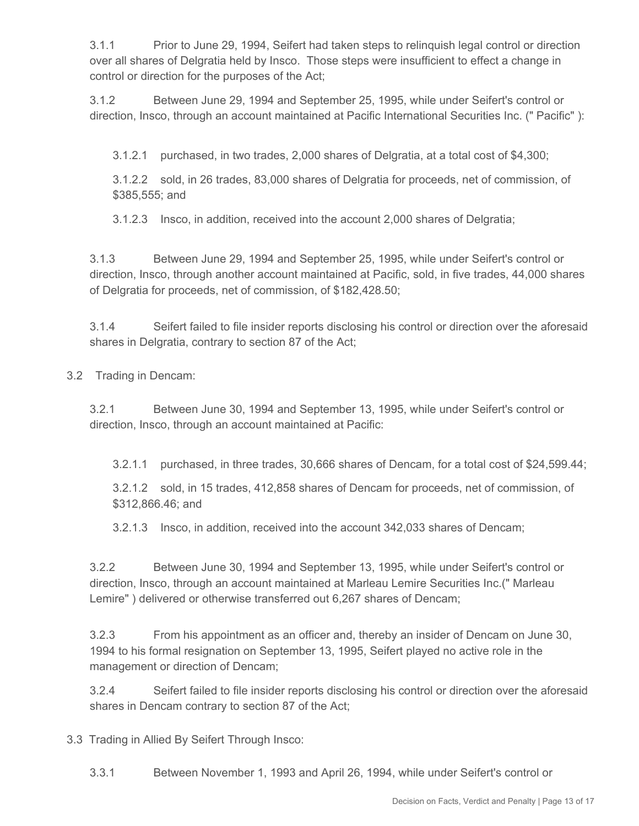3.1.1 Prior to June 29, 1994, Seifert had taken steps to relinquish legal control or direction over all shares of Delgratia held by Insco. Those steps were insufficient to effect a change in control or direction for the purposes of the Act;

3.1.2 Between June 29, 1994 and September 25, 1995, while under Seifert's control or direction, Insco, through an account maintained at Pacific International Securities Inc. (" Pacific" ):

3.1.2.1 purchased, in two trades, 2,000 shares of Delgratia, at a total cost of \$4,300;

3.1.2.2 sold, in 26 trades, 83,000 shares of Delgratia for proceeds, net of commission, of \$385,555; and

3.1.2.3 Insco, in addition, received into the account 2,000 shares of Delgratia;

3.1.3 Between June 29, 1994 and September 25, 1995, while under Seifert's control or direction, Insco, through another account maintained at Pacific, sold, in five trades, 44,000 shares of Delgratia for proceeds, net of commission, of \$182,428.50;

3.1.4 Seifert failed to file insider reports disclosing his control or direction over the aforesaid shares in Delgratia, contrary to section 87 of the Act;

3.2 Trading in Dencam:

3.2.1 Between June 30, 1994 and September 13, 1995, while under Seifert's control or direction, Insco, through an account maintained at Pacific:

3.2.1.1 purchased, in three trades, 30,666 shares of Dencam, for a total cost of \$24,599.44;

3.2.1.2 sold, in 15 trades, 412,858 shares of Dencam for proceeds, net of commission, of \$312,866.46; and

3.2.1.3 Insco, in addition, received into the account 342,033 shares of Dencam;

3.2.2 Between June 30, 1994 and September 13, 1995, while under Seifert's control or direction, Insco, through an account maintained at Marleau Lemire Securities Inc.(" Marleau Lemire" ) delivered or otherwise transferred out 6,267 shares of Dencam;

3.2.3 From his appointment as an officer and, thereby an insider of Dencam on June 30, 1994 to his formal resignation on September 13, 1995, Seifert played no active role in the management or direction of Dencam;

3.2.4 Seifert failed to file insider reports disclosing his control or direction over the aforesaid shares in Dencam contrary to section 87 of the Act;

3.3 Trading in Allied By Seifert Through Insco:

3.3.1 Between November 1, 1993 and April 26, 1994, while under Seifert's control or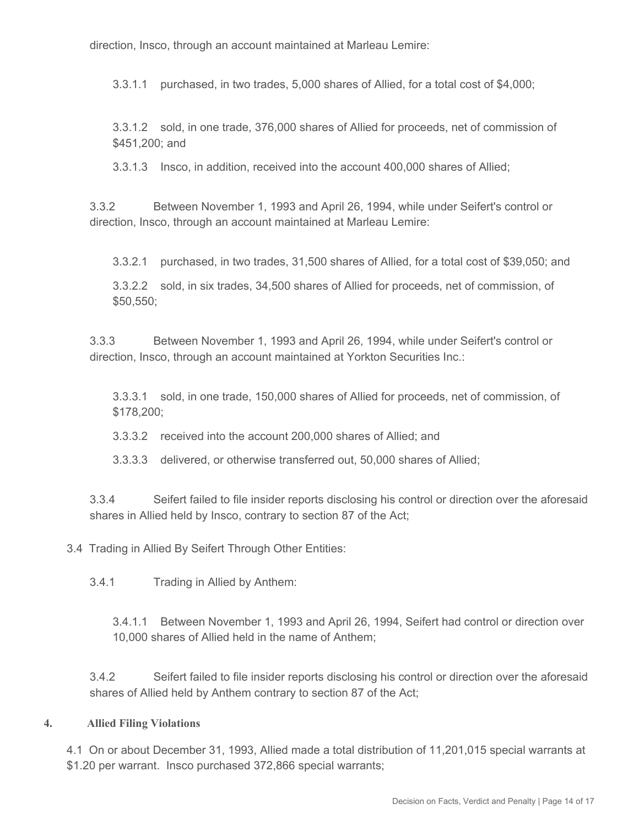direction, Insco, through an account maintained at Marleau Lemire:

3.3.1.1 purchased, in two trades, 5,000 shares of Allied, for a total cost of \$4,000;

3.3.1.2 sold, in one trade, 376,000 shares of Allied for proceeds, net of commission of \$451,200; and

3.3.1.3 Insco, in addition, received into the account 400,000 shares of Allied;

3.3.2 Between November 1, 1993 and April 26, 1994, while under Seifert's control or direction, Insco, through an account maintained at Marleau Lemire:

3.3.2.1 purchased, in two trades, 31,500 shares of Allied, for a total cost of \$39,050; and

3.3.2.2 sold, in six trades, 34,500 shares of Allied for proceeds, net of commission, of \$50,550;

3.3.3 Between November 1, 1993 and April 26, 1994, while under Seifert's control or direction, Insco, through an account maintained at Yorkton Securities Inc.:

3.3.3.1 sold, in one trade, 150,000 shares of Allied for proceeds, net of commission, of \$178,200;

3.3.3.2 received into the account 200,000 shares of Allied; and

3.3.3.3 delivered, or otherwise transferred out, 50,000 shares of Allied;

3.3.4 Seifert failed to file insider reports disclosing his control or direction over the aforesaid shares in Allied held by Insco, contrary to section 87 of the Act;

3.4 Trading in Allied By Seifert Through Other Entities:

3.4.1 Trading in Allied by Anthem:

3.4.1.1 Between November 1, 1993 and April 26, 1994, Seifert had control or direction over 10,000 shares of Allied held in the name of Anthem;

3.4.2 Seifert failed to file insider reports disclosing his control or direction over the aforesaid shares of Allied held by Anthem contrary to section 87 of the Act;

#### **4. Allied Filing Violations**

4.1 On or about December 31, 1993, Allied made a total distribution of 11,201,015 special warrants at \$1.20 per warrant. Insco purchased 372,866 special warrants;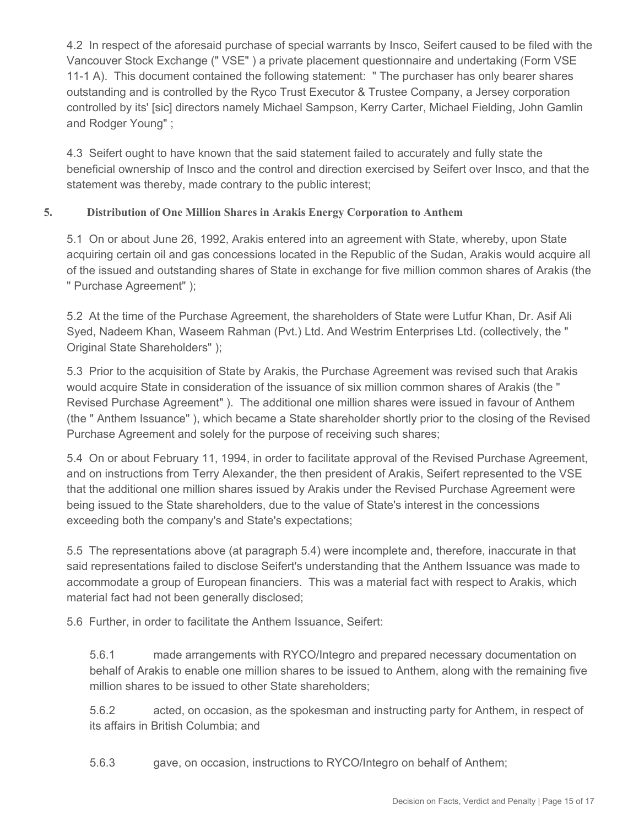4.2 In respect of the aforesaid purchase of special warrants by Insco, Seifert caused to be filed with the Vancouver Stock Exchange (" VSE" ) a private placement questionnaire and undertaking (Form VSE 11-1 A). This document contained the following statement: " The purchaser has only bearer shares outstanding and is controlled by the Ryco Trust Executor & Trustee Company, a Jersey corporation controlled by its' [sic] directors namely Michael Sampson, Kerry Carter, Michael Fielding, John Gamlin and Rodger Young" ;

4.3 Seifert ought to have known that the said statement failed to accurately and fully state the beneficial ownership of Insco and the control and direction exercised by Seifert over Insco, and that the statement was thereby, made contrary to the public interest;

## **5. Distribution of One Million Shares in Arakis Energy Corporation to Anthem**

5.1 On or about June 26, 1992, Arakis entered into an agreement with State, whereby, upon State acquiring certain oil and gas concessions located in the Republic of the Sudan, Arakis would acquire all of the issued and outstanding shares of State in exchange for five million common shares of Arakis (the " Purchase Agreement" );

5.2 At the time of the Purchase Agreement, the shareholders of State were Lutfur Khan, Dr. Asif Ali Syed, Nadeem Khan, Waseem Rahman (Pvt.) Ltd. And Westrim Enterprises Ltd. (collectively, the " Original State Shareholders" );

5.3 Prior to the acquisition of State by Arakis, the Purchase Agreement was revised such that Arakis would acquire State in consideration of the issuance of six million common shares of Arakis (the " Revised Purchase Agreement" ). The additional one million shares were issued in favour of Anthem (the " Anthem Issuance" ), which became a State shareholder shortly prior to the closing of the Revised Purchase Agreement and solely for the purpose of receiving such shares;

5.4 On or about February 11, 1994, in order to facilitate approval of the Revised Purchase Agreement, and on instructions from Terry Alexander, the then president of Arakis, Seifert represented to the VSE that the additional one million shares issued by Arakis under the Revised Purchase Agreement were being issued to the State shareholders, due to the value of State's interest in the concessions exceeding both the company's and State's expectations;

5.5 The representations above (at paragraph 5.4) were incomplete and, therefore, inaccurate in that said representations failed to disclose Seifert's understanding that the Anthem Issuance was made to accommodate a group of European financiers. This was a material fact with respect to Arakis, which material fact had not been generally disclosed;

5.6 Further, in order to facilitate the Anthem Issuance, Seifert:

5.6.1 made arrangements with RYCO/Integro and prepared necessary documentation on behalf of Arakis to enable one million shares to be issued to Anthem, along with the remaining five million shares to be issued to other State shareholders;

5.6.2 acted, on occasion, as the spokesman and instructing party for Anthem, in respect of its affairs in British Columbia; and

5.6.3 gave, on occasion, instructions to RYCO/Integro on behalf of Anthem;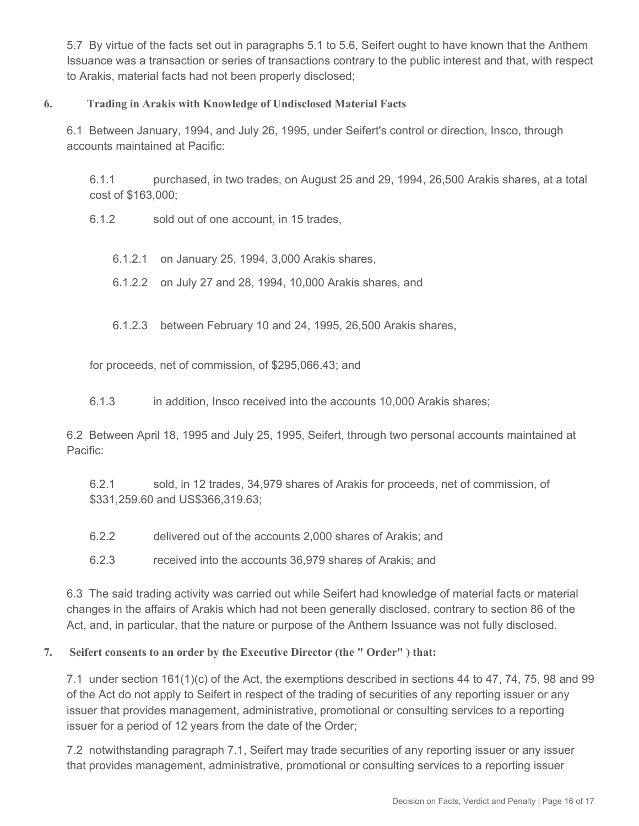5.7 By virtue of the facts set out in paragraphs 5.1 to 5.6, Seifert ought to have known that the Anthem Issuance was a transaction or series of transactions contrary to the public interest and that, with respect to Arakis, material facts had not been properly disclosed;

#### **6. Trading in Arakis with Knowledge of Undisclosed Material Facts**

6.1 Between January, 1994, and July 26, 1995, under Seifert's control or direction, Insco, through accounts maintained at Pacific:

6.1.1 purchased, in two trades, on August 25 and 29, 1994, 26,500 Arakis shares, at a total cost of \$163,000;

6.1.2 sold out of one account, in 15 trades,

6.1.2.1 on January 25, 1994, 3,000 Arakis shares,

6.1.2.2 on July 27 and 28, 1994, 10,000 Arakis shares, and

6.1.2.3 between February 10 and 24, 1995, 26,500 Arakis shares,

for proceeds, net of commission, of \$295,066.43; and

6.1.3 in addition, Insco received into the accounts 10,000 Arakis shares;

6.2 Between April 18, 1995 and July 25, 1995, Seifert, through two personal accounts maintained at Pacific:

6.2.1 sold, in 12 trades, 34,979 shares of Arakis for proceeds, net of commission, of \$331,259.60 and US\$366,319.63;

6.2.2 delivered out of the accounts 2,000 shares of Arakis; and

6.2.3 received into the accounts 36,979 shares of Arakis; and

6.3 The said trading activity was carried out while Seifert had knowledge of material facts or material changes in the affairs of Arakis which had not been generally disclosed, contrary to section 86 of the Act, and, in particular, that the nature or purpose of the Anthem Issuance was not fully disclosed.

#### **7. Seifert consents to an order by the Executive Director (the " Order" ) that:**

7.1 under section 161(1)(c) of the Act, the exemptions described in sections 44 to 47, 74, 75, 98 and 99 of the Act do not apply to Seifert in respect of the trading of securities of any reporting issuer or any issuer that provides management, administrative, promotional or consulting services to a reporting issuer for a period of 12 years from the date of the Order;

7.2 notwithstanding paragraph 7.1, Seifert may trade securities of any reporting issuer or any issuer that provides management, administrative, promotional or consulting services to a reporting issuer